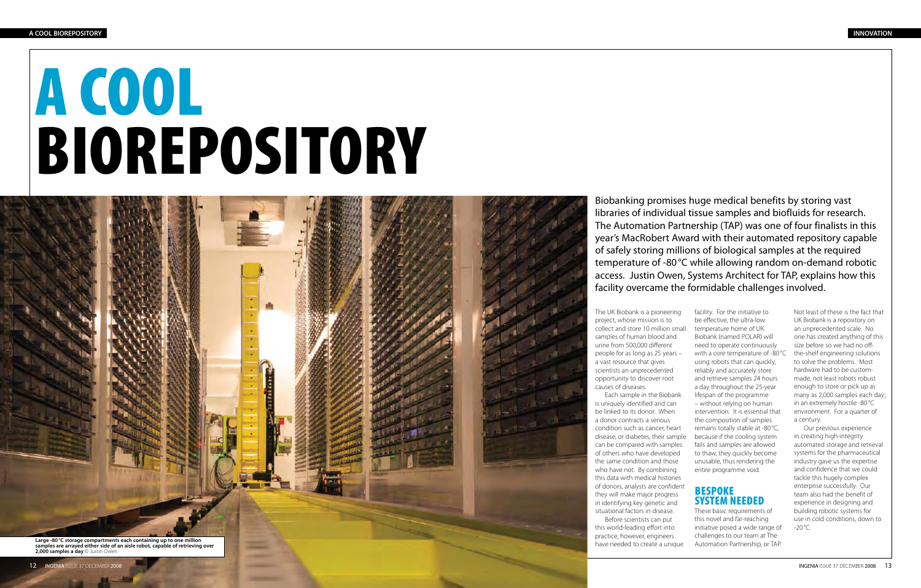Biobanking promises huge medical benefits by storing vast libraries of individual tissue samples and biofluids for research. The Automation Partnership (TAP) was one of four finalists in this year's MacRobert Award with their automated repository capable of safely storing millions of biological samples at the required temperature of -80°C while allowing random on-demand robotic access. Justin Owen, Systems Architect for TAP, explains how this facility overcame the formidable challenges involved.

The UK Biobank is a pioneering project, whose mission is to collect and store 10 million small samples of human blood and urine from 500,000 different people for as long as 25 years – a vast resource that gives scientists an unprecedented opportunity to discover root

causes of diseases.

12 INGENIA ISSUE 37 DECEMBER 2008

Each sample in the Biobank is uniquely identified and can be linked to its donor. When a donor contracts a serious condition such as cancer, heart disease, or diabetes, their sample can be compared with samples of others who have developed the same condition and those who have not. By combining this data with medical histories of donors, analysts are confident they will make major progress in identifying key genetic and situational factors in disease. Before scientists can put this world-leading effort into practice, however, engineers have needed to create a unique

Our previous experience in creating high-integrity automated storage and retrieval systems for the pharmaceutical industry gave us the expertise and confidence that we could tackle this hugely complex enterprise successfully. Our team also had the benefit of experience in designing and building robotic systems for use in cold conditions, down to  $-20^{\circ}$ C.

**STATISTICS Large -80°C storage compartments each containing up to one million samples are arrayed either side of an aisle robot, capable of retrieving over 2,000 samples a day** © Justin Owen

facility. For the initiative to be effective, the ultra-low temperature home of UK Biobank (named POLAR) will need to operate continuously with a core temperature of -80 °C using robots that can quickly, reliably and accurately store and retrieve samples 24 hours a day throughout the 25-year lifespan of the programme – without relying on human intervention. It is essential that the composition of samples remains totally stable at -80 °C, because if the cooling system fails and samples are allowed to thaw, they quickly become unusable, thus rendering the entire programme void.

#### Bespoke system needed

These basic requirements of this novel and far-reaching initiative posed a wide range of challenges to our team at The Automation Partnership, or TAP.

Not least of these is the fact that UK Biobank is a repository on an unprecedented scale. No one has created anything of this size before so we had no offthe-shelf engineering solutions to solve the problems. Most hardware had to be custommade, not least robots robust enough to store or pick up as many as 2,000 samples each day; in an extremely hostile -80 °C environment. For a quarter of a century.

# A COOL BIOREPOSITORY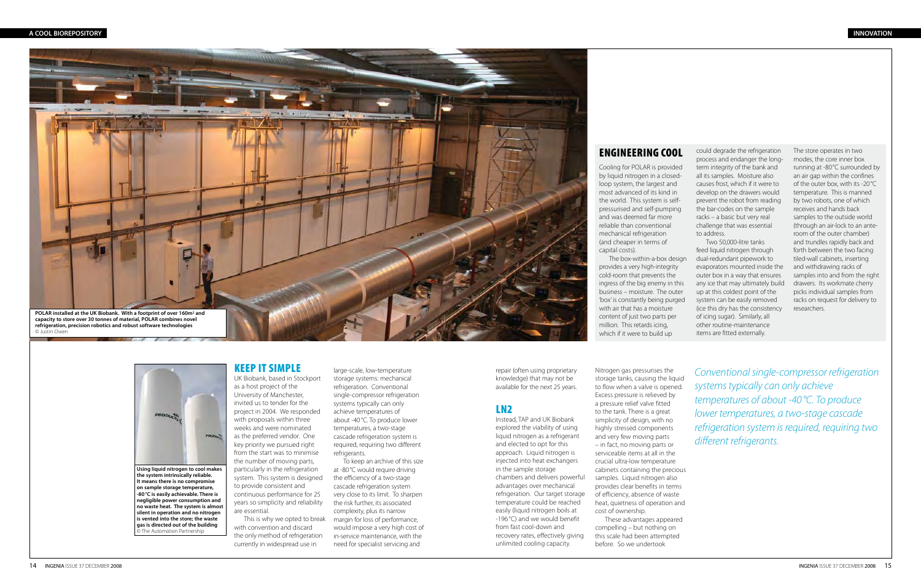repair (often using proprietary knowledge) that may not be available for the next 25 years.

#### LN2

Instead, TAP and UK Biobank explored the viability of using liquid nitrogen as a refrigerant and elected to opt for this approach. Liquid nitrogen is injected into heat exchangers in the sample storage chambers and delivers powerful advantages over mechanical refrigeration. Our target storage temperature could be reached easily (liquid nitrogen boils at -196 °C) and we would benefit from fast cool-down and recovery rates, effectively giving unlimited cooling capacity.

Nitrogen gas pressurises the storage tanks, causing the liquid to flow when a valve is opened. Excess pressure is relieved by a pressure relief valve fitted to the tank. There is a great simplicity of design, with no highly stressed components and very few moving parts – in fact, no moving parts or serviceable items at all in the crucial ultra-low temperature cabinets containing the precious samples. Liquid nitrogen also provides clear benefits in terms of efficiency, absence of waste heat, quietness of operation and cost of ownership. These advantages appeared compelling – but nothing on this scale had been attempted before. So we undertook

*Conventional single-compressor refrigeration systems typically can only achieve temperatures of about -40°C. To produce lower temperatures, a two-stage cascade refrigeration system is required, requiring two different refrigerants.* 

# Engineering Cool

Cooling for POLAR is provided by liquid nitrogen in a closedloop system, the largest and most advanced of its kind in the world. This system is selfpressurised and self-pumping and was deemed far more reliable than conventional mechanical refrigeration (and cheaper in terms of capital costs).

The box-within-a-box design provides a very high-integrity cold-room that prevents the ingress of the big enemy in this business – moisture. The outer 'box' is constantly being purged with air that has a moisture content of just two parts per million. This retards icing, which if it were to build up

large-scale, low-temperature storage systems: mechanical refrigeration. Conventional single-compressor refrigeration systems typically can only achieve temperatures of about -40°C. To produce lower temperatures, a two-stage cascade refrigeration system is required, requiring two different refrigerants.

could degrade the refrigeration process and endanger the longterm integrity of the bank and all its samples. Moisture also causes frost, which if it were to develop on the drawers would prevent the robot from reading the bar-codes on the sample racks – a basic but very real challenge that was essential to address.

Two 50,000-litre tanks feed liquid nitrogen through dual-redundant pipework to evaporators mounted inside the outer box in a way that ensures any ice that may ultimately build up at this coldest point of the system can be easily removed (ice this dry has the consistency of icing sugar). Similarly, all other routine-maintenance items are fitted externally.

**gas is directed out of the building**  .<br>© The Automation Partnership

The store operates in two modes, the core inner box running at -80°C surrounded by an air gap within the confines of the outer box, with its -20°C temperature. This is manned by two robots, one of which receives and hands back samples to the outside world (through an air-lock to an anteroom of the outer chamber) and trundles rapidly back and forth between the two facing tiled-wall cabinets, inserting and withdrawing racks of samples into and from the right drawers. Its workmate cherry picks individual samples from racks on request for delivery to researchers.

#### Keep it simple

UK Biobank, based in Stockport as a host project of the University of Manchester, invited us to tender for the project in 2004. We responded with proposals within three weeks and were nominated as the preferred vendor. One key priority we pursued right from the start was to minimise the number of moving parts, particularly in the refrigeration system. This system is designed to provide consistent and continuous performance for 25 years so simplicity and reliability are essential.

This is why we opted to break with convention and discard the only method of refrigeration currently in widespread use in

To keep an archive of this size at -80°C would require driving the efficiency of a two-stage cascade refrigeration system very close to its limit. To sharpen the risk further, its associated complexity, plus its narrow margin for loss of performance, would impose a very high cost of in-service maintenance, with the need for specialist servicing and